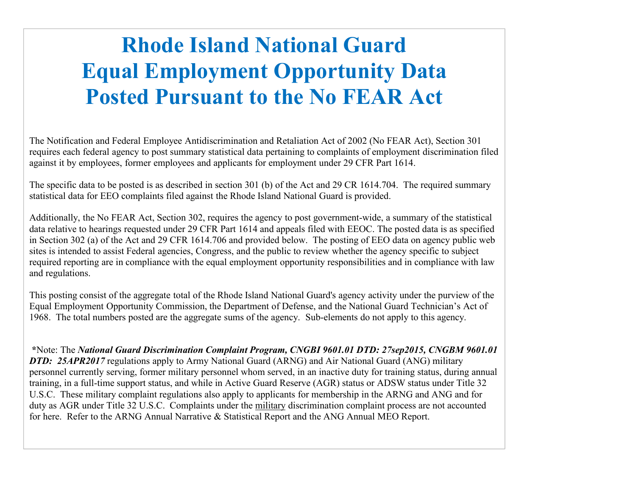## Rhode Island National Guard Equal Employment Opportunity Data Posted Pursuant to the No FEAR Act

The Notification and Federal Employee Antidiscrimination and Retaliation Act of 2002 (No FEAR Act), Section 301 requires each federal agency to post summary statistical data pertaining to complaints of employment discrimination filed against it by employees, former employees and applicants for employment under 29 CFR Part 1614.

The specific data to be posted is as described in section 301 (b) of the Act and 29 CR 1614.704. The required summary statistical data for EEO complaints filed against the Rhode Island National Guard is provided.

**Equal Employment Opportunity Data**<br> **Equal Employment Opportunity Data**<br> **Posted Pursuant to the No FEAR Act**<br>
The Notification and Federal Employee Antidiscrimination and Retaliation Act of 2002 (No FEAR Act), Section 3 data relative to hearings requested under 29 CFR Part 1614 and appeals filed with EEOC. The posted data is as specified in Section 302 (a) of the Act and 29 CFR 1614.706 and provided below. The posting of EEO data on agency public web sites is intended to assist Federal agencies, Congress, and the public to review whether the agency specific to subject required reporting are in compliance with the equal employment opportunity responsibilities and in compliance with law and regulations. **POSTEE PUITSURIM TO the NO FEAR ACT**<br>The Notification and Federal Employee Antidiscrimination and Retaliation Act of 2002 (No FFAR Act), Section 301<br>requires each federal agrees to frost summary statistical data pertaini The Commatter of the Rational Guard Engine Complaint Complaint Complaint Complaints of complaints of complaints of complaints of complaints of complaints of complaints of complaints of complaints of complaints of complaint

Equal Employment Opportunity Commission, the Department of Defense, and the National Guard Technician's Act of 1968. The total numbers posted are the aggregate sums of the agency. Sub-elements do not apply to this agency.

requires each react react apply parts approach and pertaining to complaints of the properties applicated applications and pertaining of the Art and 29 CR Part 1614.<br>The specific data to be posted is as described in section personnel currently serving, former military personnel whom served, in an inactive duty for training status, during annual training, in a full-time support status, and while in Active Guard Reserve (AGR) status or ADSW status under Title 32 U.S.C. These military complaint regulations also apply to applicants for membership in the ARNG and ANG and for statistical colariors and the sector of the sector of the military discrimination of the sector and the sector of the sector of the sector of the sector of the sector of the sector of the sector of the sector of the sector Additionally, the No FEAR Act, Section 302, requires the agency to post government-wide, a summary data relative to hearings requested under 29 CFR 26 Part 1614 and appeals filed with EEOC. The posted definate ratios is in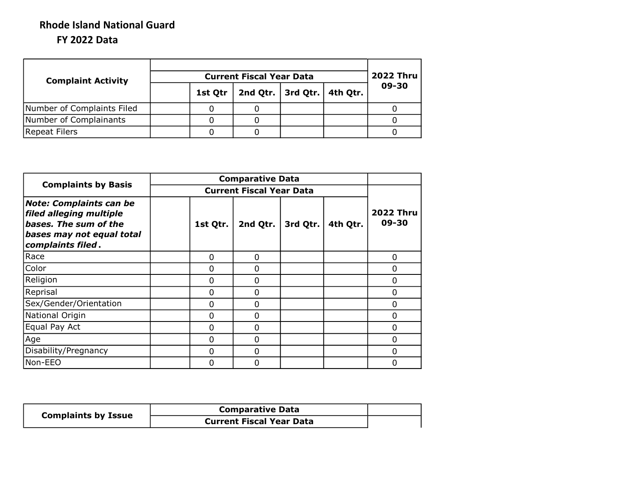## FY 2022 Data Rhode Island National Guard

| <b>Complaint Activity</b>  |  |         | <b>2022 Thru</b> |          |          |       |
|----------------------------|--|---------|------------------|----------|----------|-------|
|                            |  | 1st Qtr | 2nd Qtr. $ $     | 3rd Qtr. | 4th Qtr. | 09-30 |
| Number of Complaints Filed |  |         |                  |          |          |       |
| Number of Complainants     |  |         |                  |          |          |       |
| Repeat Filers              |  |         |                  |          |          |       |

|                                                                                                                                      | <b>Comparative Data</b> |                                 |          |          |                           |  |  |  |  |
|--------------------------------------------------------------------------------------------------------------------------------------|-------------------------|---------------------------------|----------|----------|---------------------------|--|--|--|--|
| <b>Complaints by Basis</b>                                                                                                           |                         | <b>Current Fiscal Year Data</b> |          |          |                           |  |  |  |  |
| <b>Note: Complaints can be</b><br>filed alleging multiple<br>bases. The sum of the<br>bases may not equal total<br>complaints filed. | 1st Qtr.                | 2nd Qtr.                        | 3rd Qtr. | 4th Qtr. | <b>2022 Thru</b><br>09-30 |  |  |  |  |
| Race                                                                                                                                 | $\Omega$                | 0                               |          |          | $\Omega$                  |  |  |  |  |
| Color                                                                                                                                | $\Omega$                | 0                               |          |          | $\Omega$                  |  |  |  |  |
| Religion                                                                                                                             | $\Omega$                | 0                               |          |          | $\Omega$                  |  |  |  |  |
| Reprisal                                                                                                                             | $\Omega$                | 0                               |          |          | $\Omega$                  |  |  |  |  |
| Sex/Gender/Orientation                                                                                                               | $\Omega$                | $\Omega$                        |          |          | $\Omega$                  |  |  |  |  |
| National Origin                                                                                                                      | $\Omega$                | $\Omega$                        |          |          | $\Omega$                  |  |  |  |  |
| Equal Pay Act                                                                                                                        | 0                       | $\Omega$                        |          |          | $\Omega$                  |  |  |  |  |
| Age                                                                                                                                  | 0                       | $\Omega$                        |          |          | $\Omega$                  |  |  |  |  |
| Disability/Pregnancy                                                                                                                 | $\Omega$                | 0                               |          |          | 0                         |  |  |  |  |
| Non-EEO                                                                                                                              | $\Omega$                | 0                               |          |          | 0                         |  |  |  |  |

| <b>Complaints by Issue</b> | <b>Comparative Data</b>         |  |
|----------------------------|---------------------------------|--|
|                            | <b>Current Fiscal Year Data</b> |  |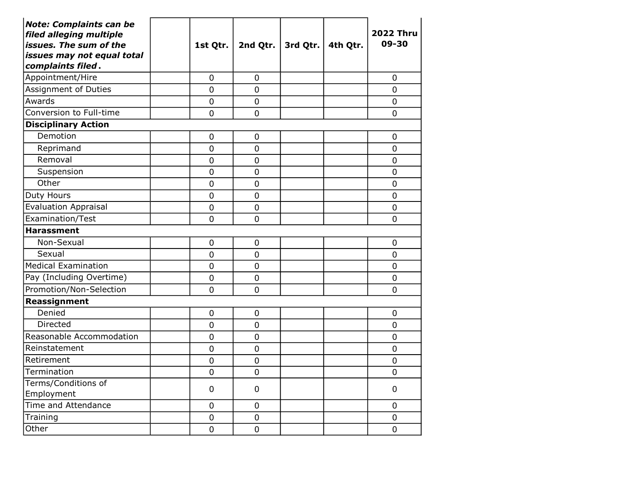| <b>Note: Complaints can be</b><br>filed alleging multiple<br>issues. The sum of the<br>issues may not equal total<br>complaints filed. | 1st Qtr.       | 2nd Qtr.       | 3rd Qtr. $\vert$ 4th Qtr. | <b>2022 Thru</b><br>09-30 |
|----------------------------------------------------------------------------------------------------------------------------------------|----------------|----------------|---------------------------|---------------------------|
| Appointment/Hire                                                                                                                       | $\overline{0}$ | $\overline{0}$ |                           | 0                         |
| Assignment of Duties                                                                                                                   | $\overline{0}$ | $\overline{0}$ |                           | 0                         |
| Awards                                                                                                                                 | $\overline{0}$ | $\overline{0}$ |                           | $\overline{0}$            |
| Conversion to Full-time                                                                                                                | $\overline{0}$ | $\overline{0}$ |                           | $\overline{0}$            |
| <b>Disciplinary Action</b>                                                                                                             |                |                |                           |                           |
| Demotion                                                                                                                               | $\mathbf 0$    | 0              |                           | $\overline{0}$            |
| Reprimand                                                                                                                              | 0              | $\mathbf 0$    |                           | 0                         |
| Removal                                                                                                                                | $\mathbf 0$    | $\mathbf 0$    |                           | $\overline{0}$            |
| Suspension                                                                                                                             | 0              | $\overline{0}$ |                           | $\overline{0}$            |
| Other                                                                                                                                  | $\overline{0}$ | $\overline{0}$ |                           | $\overline{0}$            |
| Duty Hours                                                                                                                             | $\mathbf 0$    | $\mathbf 0$    |                           | $\overline{0}$            |
| <b>Evaluation Appraisal</b>                                                                                                            | $\mathbf 0$    | $\overline{0}$ |                           | $\overline{0}$            |
| Examination/Test                                                                                                                       | $\overline{0}$ | $\overline{0}$ |                           | $\overline{0}$            |
| <b>Harassment</b>                                                                                                                      |                |                |                           |                           |
| Non-Sexual                                                                                                                             | $\mathbf 0$    | $\mathbf 0$    |                           | 0                         |
| Sexual                                                                                                                                 | $\mathbf 0$    | $\mathbf 0$    |                           | 0                         |
| <b>Medical Examination</b>                                                                                                             | $\mathbf 0$    | $\mathbf 0$    |                           | $\overline{0}$            |
| Pay (Including Overtime)                                                                                                               | $\mathbf 0$    | $\mathbf 0$    |                           | $\mathbf 0$               |
| Promotion/Non-Selection                                                                                                                | $\overline{0}$ | 0              |                           | 0                         |
| Reassignment                                                                                                                           |                |                |                           |                           |
| Denied                                                                                                                                 | $\mathbf 0$    | $\overline{0}$ |                           | $\overline{0}$            |
| Directed                                                                                                                               | $\mathbf 0$    | $\overline{0}$ |                           | $\mathbf 0$               |
| Reasonable Accommodation                                                                                                               | $\overline{0}$ | $\overline{0}$ |                           | $\overline{0}$            |
| Reinstatement                                                                                                                          | $\overline{0}$ | $\overline{0}$ |                           | $\overline{0}$            |
| Retirement                                                                                                                             | $\mathbf 0$    | $\mathbf 0$    |                           | $\overline{0}$            |
| Termination                                                                                                                            | $\mathbf 0$    | $\mathbf 0$    |                           | $\overline{0}$            |
| Terms/Conditions of<br>Employment                                                                                                      | 0              | 0              |                           | 0                         |
| Time and Attendance                                                                                                                    | $\mathbf 0$    | $\mathbf 0$    |                           | 0                         |
| Training                                                                                                                               | $\mathbf 0$    | $\overline{0}$ |                           | 0                         |
| Other                                                                                                                                  | $\overline{0}$ | $\overline{0}$ |                           | $\overline{0}$            |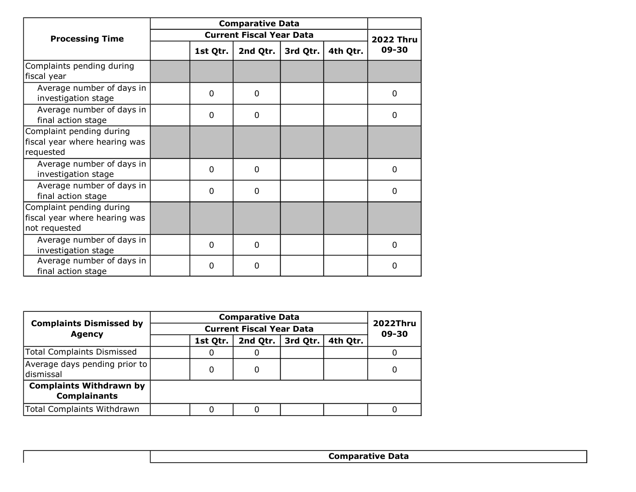| <b>Processing Time</b>                                                     |  |          | <b>Current Fiscal Year Data</b> |          |          | <b>2022 Thru</b> |
|----------------------------------------------------------------------------|--|----------|---------------------------------|----------|----------|------------------|
|                                                                            |  | 1st Qtr. | 2nd Qtr.                        | 3rd Qtr. | 4th Qtr. | 09-30            |
| Complaints pending during<br>fiscal year                                   |  |          |                                 |          |          |                  |
| Average number of days in<br>investigation stage                           |  | 0        | 0                               |          |          | 0                |
| Average number of days in<br>final action stage                            |  | 0        | 0                               |          |          | 0                |
| Complaint pending during<br>fiscal year where hearing was<br>requested     |  |          |                                 |          |          |                  |
| Average number of days in<br>investigation stage                           |  | $\Omega$ | $\Omega$                        |          |          | $\Omega$         |
| Average number of days in<br>final action stage                            |  | 0        | 0                               |          |          | 0                |
| Complaint pending during<br>fiscal year where hearing was<br>not requested |  |          |                                 |          |          |                  |
| Average number of days in<br>investigation stage                           |  | $\Omega$ | $\Omega$                        |          |          | $\Omega$         |
| Average number of days in<br>final action stage                            |  | 0        | 0                               |          |          | 0                |

|                                                       |  |          | <b>Comparative Data</b>  |          |          |   |
|-------------------------------------------------------|--|----------|--------------------------|----------|----------|---|
| <b>Complaints Dismissed by</b><br><b>Agency</b>       |  |          | <b>2022Thru</b><br>09-30 |          |          |   |
|                                                       |  | 1st Qtr. | 2nd Qtr.                 | 3rd Qtr. | 4th Qtr. |   |
| <b>Total Complaints Dismissed</b>                     |  | O        | U                        |          |          |   |
| Average days pending prior to<br>ldismissal           |  | 0        | 0                        |          |          | 0 |
| <b>Complaints Withdrawn by</b><br><b>Complainants</b> |  |          |                          |          |          |   |
| <b>Total Complaints Withdrawn</b>                     |  |          | O                        |          |          |   |
|                                                       |  |          |                          |          |          |   |

Comparative Data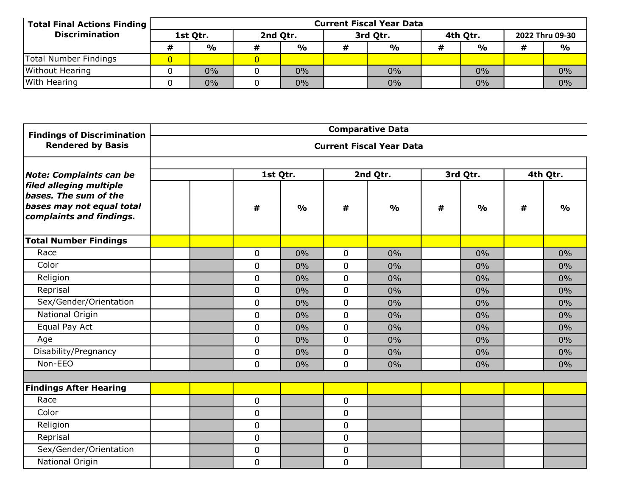| <b>Total Final Actions Finding</b> | <b>Current Fiscal Year Data</b> |               |          |               |          |               |   |               |  |                 |  |
|------------------------------------|---------------------------------|---------------|----------|---------------|----------|---------------|---|---------------|--|-----------------|--|
| <b>Discrimination</b>              | 1st Qtr.                        |               | 2nd Qtr. |               | 3rd Qtr. |               |   | 4th Qtr.      |  | 2022 Thru 09-30 |  |
|                                    | #                               | $\frac{1}{2}$ |          | $\frac{1}{2}$ |          | $\frac{1}{2}$ | # | $\frac{1}{2}$ |  | $\frac{1}{2}$   |  |
| Total Number Findings              |                                 |               |          |               |          |               |   |               |  |                 |  |
| Without Hearing                    |                                 | $0\%$         |          | 0%            |          | $0\%$         |   | 0%            |  | 0%              |  |
| With Hearing                       |                                 | $0\%$         |          | 0%            |          | $0\%$         |   | $0\%$         |  | 0%              |  |

| <b>Findings of Discrimination</b>                                                                         | <b>Comparative Data</b> |             |               |             |                                 |   |               |      |               |  |  |
|-----------------------------------------------------------------------------------------------------------|-------------------------|-------------|---------------|-------------|---------------------------------|---|---------------|------|---------------|--|--|
| <b>Rendered by Basis</b>                                                                                  |                         |             |               |             | <b>Current Fiscal Year Data</b> |   |               |      |               |  |  |
| <b>Note: Complaints can be</b>                                                                            |                         | 1st Qtr.    |               |             | 2nd Qtr.                        |   | 3rd Qtr.      |      | 4th Qtr.      |  |  |
| filed alleging multiple<br>bases. The sum of the<br>bases may not equal total<br>complaints and findings. |                         | #           | $\frac{0}{0}$ | #           | $\frac{0}{0}$                   | # | $\frac{0}{0}$ | $\#$ | $\frac{0}{0}$ |  |  |
| <b>Total Number Findings</b>                                                                              |                         |             |               |             |                                 |   |               |      |               |  |  |
| Race                                                                                                      |                         | 0           | 0%            | $\mathbf 0$ | 0%                              |   | 0%            |      | $0\%$         |  |  |
| Color                                                                                                     |                         | 0           | 0%            | $\mathbf 0$ | 0%                              |   | 0%            |      | 0%            |  |  |
| Religion                                                                                                  |                         | 0           | 0%            | $\mathbf 0$ | $0\%$                           |   | 0%            |      | $0\%$         |  |  |
| Reprisal                                                                                                  |                         | 0           | 0%            | $\mathbf 0$ | $0\%$                           |   | 0%            |      | $0\%$         |  |  |
| Sex/Gender/Orientation                                                                                    |                         | 0           | 0%            | $\mathbf 0$ | 0%                              |   | 0%            |      | 0%            |  |  |
| National Origin                                                                                           |                         | 0           | 0%            | $\mathbf 0$ | $0\%$                           |   | $0\%$         |      | $0\%$         |  |  |
| Equal Pay Act                                                                                             |                         | 0           | 0%            | $\mathbf 0$ | 0%                              |   | 0%            |      | $0\%$         |  |  |
| Age                                                                                                       |                         | $\mathbf 0$ | 0%            | $\mathbf 0$ | 0%                              |   | 0%            |      | 0%            |  |  |
| Disability/Pregnancy                                                                                      |                         | 0           | 0%            | $\mathbf 0$ | $0\%$                           |   | $0\%$         |      | $0\%$         |  |  |
| Non-EEO                                                                                                   |                         | 0           | 0%            | $\mathbf 0$ | $0\%$                           |   | 0%            |      | 0%            |  |  |
|                                                                                                           |                         |             |               |             |                                 |   |               |      |               |  |  |
| <b>Findings After Hearing</b>                                                                             |                         |             |               |             |                                 |   |               |      |               |  |  |
| Race                                                                                                      |                         | 0           |               | $\mathbf 0$ |                                 |   |               |      |               |  |  |
| Color                                                                                                     |                         | 0           |               | $\mathbf 0$ |                                 |   |               |      |               |  |  |
| Religion                                                                                                  |                         | 0           |               | $\mathbf 0$ |                                 |   |               |      |               |  |  |
| Reprisal                                                                                                  |                         | 0           |               | $\mathbf 0$ |                                 |   |               |      |               |  |  |
| Sex/Gender/Orientation                                                                                    |                         | 0           |               | $\mathbf 0$ |                                 |   |               |      |               |  |  |
| National Origin                                                                                           |                         | 0           |               | $\mathbf 0$ |                                 |   |               |      |               |  |  |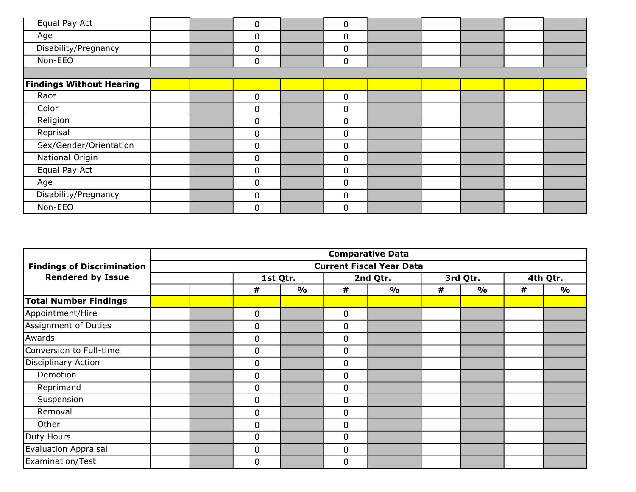| Equal Pay Act                   |  | 0           | 0           |  |  |  |
|---------------------------------|--|-------------|-------------|--|--|--|
| Age                             |  | 0           | $\mathbf 0$ |  |  |  |
| Disability/Pregnancy            |  | $\mathbf 0$ | $\mathbf 0$ |  |  |  |
| Non-EEO                         |  | 0           | $\mathbf 0$ |  |  |  |
|                                 |  |             |             |  |  |  |
| <b>Findings Without Hearing</b> |  |             |             |  |  |  |
| Race                            |  | 0           | $\mathbf 0$ |  |  |  |
| Color                           |  | 0           | 0           |  |  |  |
| Religion                        |  | 0           | $\mathbf 0$ |  |  |  |
| Reprisal                        |  | $\mathbf 0$ | $\mathbf 0$ |  |  |  |
| Sex/Gender/Orientation          |  | $\mathbf 0$ | $\mathbf 0$ |  |  |  |
| National Origin                 |  | 0           | $\mathbf 0$ |  |  |  |
| Equal Pay Act                   |  | $\mathbf 0$ | $\mathbf 0$ |  |  |  |
| Age                             |  | $\Omega$    | 0           |  |  |  |
| Disability/Pregnancy            |  | 0           | $\mathbf 0$ |  |  |  |
| Non-EEO                         |  | 0           | $\mathbf 0$ |  |  |  |

|                                                                                     | <b>Comparative Data</b> |  |             |               |             |                                 |   |               |   |               |  |  |
|-------------------------------------------------------------------------------------|-------------------------|--|-------------|---------------|-------------|---------------------------------|---|---------------|---|---------------|--|--|
| <b>Findings of Discrimination</b>                                                   |                         |  |             |               |             | <b>Current Fiscal Year Data</b> |   |               |   |               |  |  |
| <b>Rendered by Issue</b><br>Demotion<br>Reprimand<br>Suspension<br>Removal<br>Other |                         |  |             | 1st Qtr.      |             | 2nd Qtr.                        |   | 3rd Qtr.      |   | 4th Qtr.      |  |  |
|                                                                                     |                         |  | #           | $\frac{0}{0}$ | #           | $\frac{0}{0}$                   | # | $\frac{1}{2}$ | # | $\frac{1}{2}$ |  |  |
| <b>Total Number Findings</b>                                                        |                         |  |             |               |             |                                 |   |               |   |               |  |  |
| Appointment/Hire                                                                    |                         |  | $\mathbf 0$ |               | $\mathbf 0$ |                                 |   |               |   |               |  |  |
| Assignment of Duties                                                                |                         |  | 0           |               | 0           |                                 |   |               |   |               |  |  |
| Awards                                                                              |                         |  | 0           |               | 0           |                                 |   |               |   |               |  |  |
| Conversion to Full-time                                                             |                         |  | $\mathbf 0$ |               | $\mathbf 0$ |                                 |   |               |   |               |  |  |
| Disciplinary Action                                                                 |                         |  | $\mathbf 0$ |               | $\mathbf 0$ |                                 |   |               |   |               |  |  |
|                                                                                     |                         |  | 0           |               | 0           |                                 |   |               |   |               |  |  |
|                                                                                     |                         |  | 0           |               | $\mathbf 0$ |                                 |   |               |   |               |  |  |
|                                                                                     |                         |  | 0           |               | 0           |                                 |   |               |   |               |  |  |
|                                                                                     |                         |  | $\mathbf 0$ |               | $\mathbf 0$ |                                 |   |               |   |               |  |  |
|                                                                                     |                         |  | $\mathbf 0$ |               | $\mathbf 0$ |                                 |   |               |   |               |  |  |
| Duty Hours                                                                          |                         |  | $\mathbf 0$ |               | $\mathbf 0$ |                                 |   |               |   |               |  |  |
| <b>Evaluation Appraisal</b>                                                         |                         |  | $\mathbf 0$ |               | $\mathbf 0$ |                                 |   |               |   |               |  |  |
| Examination/Test                                                                    |                         |  | 0           |               | 0           |                                 |   |               |   |               |  |  |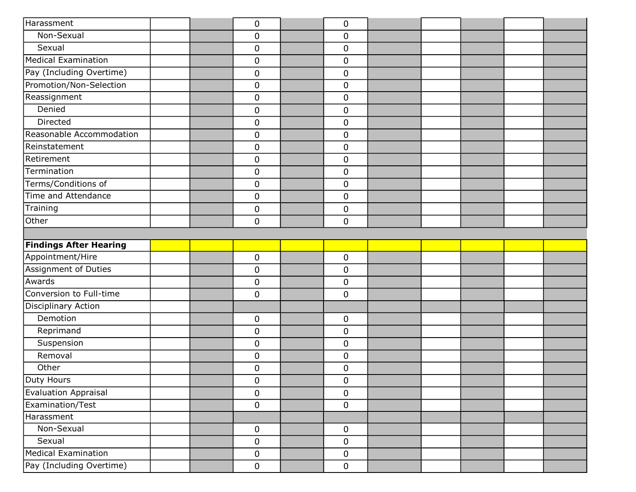| Harassment                    | 0                   | $\mathbf 0$ |  |  |  |
|-------------------------------|---------------------|-------------|--|--|--|
| Non-Sexual                    | 0                   | $\mathbf 0$ |  |  |  |
| Sexual                        | 0                   | $\mathbf 0$ |  |  |  |
| Medical Examination           | $\mathbf 0$         | $\mathbf 0$ |  |  |  |
| Pay (Including Overtime)      | $\pmb{0}$           | $\pmb{0}$   |  |  |  |
| Promotion/Non-Selection       | $\mathsf{O}\xspace$ | $\mathbf 0$ |  |  |  |
| Reassignment                  | 0                   | $\mathbf 0$ |  |  |  |
| Denied                        | $\mathbf 0$         | $\mathbf 0$ |  |  |  |
| Directed                      | 0                   | $\mathbf 0$ |  |  |  |
| Reasonable Accommodation      | 0                   | $\mathbf 0$ |  |  |  |
| Reinstatement                 | $\mathbf 0$         | $\mathbf 0$ |  |  |  |
| Retirement                    | $\pmb{0}$           | $\pmb{0}$   |  |  |  |
| Termination                   | 0                   | $\mathbf 0$ |  |  |  |
| Terms/Conditions of           | 0                   | $\mathbf 0$ |  |  |  |
| Time and Attendance           | $\pmb{0}$           | $\mathbf 0$ |  |  |  |
| Training                      | $\pmb{0}$           | $\pmb{0}$   |  |  |  |
| Other                         | 0                   | $\mathbf 0$ |  |  |  |
|                               |                     |             |  |  |  |
| <b>Findings After Hearing</b> |                     |             |  |  |  |
| Appointment/Hire              | 0                   | $\mathbf 0$ |  |  |  |
| <b>Assignment of Duties</b>   | 0                   | $\mathbf 0$ |  |  |  |
| Awards                        | $\mathbf 0$         | $\mathbf 0$ |  |  |  |
| Conversion to Full-time       | $\mathbf 0$         | $\mathbf 0$ |  |  |  |
| Disciplinary Action           |                     |             |  |  |  |
| Demotion                      | 0                   | $\mathbf 0$ |  |  |  |
| Reprimand                     | 0                   | $\mathbf 0$ |  |  |  |
| Suspension                    | $\pmb{0}$           | $\mathbf 0$ |  |  |  |
| Removal                       | 0                   | $\mathbf 0$ |  |  |  |
| Other                         | 0                   | $\mathbf 0$ |  |  |  |
| Duty Hours                    | 0                   | $\mathbf 0$ |  |  |  |
| <b>Evaluation Appraisal</b>   | 0                   | $\mathbf 0$ |  |  |  |
| Examination/Test              | $\mathbf 0$         | $\mathbf 0$ |  |  |  |
| Harassment                    |                     |             |  |  |  |
| Non-Sexual                    | $\mathbf 0$         | $\mathbf 0$ |  |  |  |
| Sexual                        | 0                   | $\mathbf 0$ |  |  |  |
| Medical Examination           | $\pmb{0}$           | $\mathbf 0$ |  |  |  |
| Pay (Including Overtime)      | $\mathbf 0$         | $\mathbf 0$ |  |  |  |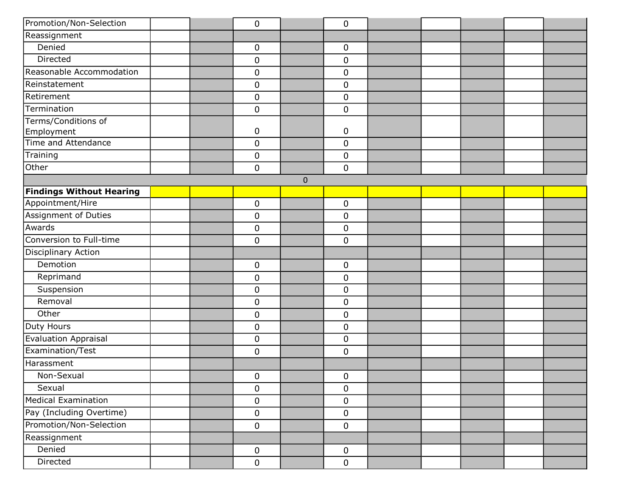| Promotion/Non-Selection         |  | 0           |           | $\pmb{0}$   |  |  |  |
|---------------------------------|--|-------------|-----------|-------------|--|--|--|
| Reassignment                    |  |             |           |             |  |  |  |
| Denied                          |  | 0           |           | $\mathbf 0$ |  |  |  |
| Directed                        |  | 0           |           | 0           |  |  |  |
| Reasonable Accommodation        |  | 0           |           | $\mathbf 0$ |  |  |  |
| Reinstatement                   |  | 0           |           | $\pmb{0}$   |  |  |  |
| Retirement                      |  | 0           |           | $\mathbf 0$ |  |  |  |
| Termination                     |  | 0           |           | $\mathbf 0$ |  |  |  |
| Terms/Conditions of             |  |             |           |             |  |  |  |
| Employment                      |  | 0           |           | $\mathbf 0$ |  |  |  |
| Time and Attendance             |  | 0           |           | $\mathbf 0$ |  |  |  |
| Training                        |  | 0           |           | 0           |  |  |  |
| Other                           |  | 0           |           | $\mathbf 0$ |  |  |  |
|                                 |  |             | $\pmb{0}$ |             |  |  |  |
| <b>Findings Without Hearing</b> |  |             |           |             |  |  |  |
| Appointment/Hire                |  | 0           |           | $\mathbf 0$ |  |  |  |
| Assignment of Duties            |  | 0           |           | $\mathbf 0$ |  |  |  |
| Awards                          |  | $\pmb{0}$   |           | $\mathbf 0$ |  |  |  |
| Conversion to Full-time         |  | 0           |           | $\mathbf 0$ |  |  |  |
| <b>Disciplinary Action</b>      |  |             |           |             |  |  |  |
| Demotion                        |  | 0           |           | $\pmb{0}$   |  |  |  |
| Reprimand                       |  | 0           |           | $\pmb{0}$   |  |  |  |
| Suspension                      |  | 0           |           | $\mathbf 0$ |  |  |  |
| Removal                         |  | 0           |           | $\mathbf 0$ |  |  |  |
| Other                           |  | $\pmb{0}$   |           | $\pmb{0}$   |  |  |  |
| Duty Hours                      |  | 0           |           | $\mathbf 0$ |  |  |  |
| <b>Evaluation Appraisal</b>     |  | 0           |           | $\mathbf 0$ |  |  |  |
| Examination/Test                |  | 0           |           | $\mathbf 0$ |  |  |  |
| Harassment                      |  |             |           |             |  |  |  |
| Non-Sexual                      |  | 0           |           | 0           |  |  |  |
| Sexual                          |  | 0           |           | $\mathbf 0$ |  |  |  |
| <b>Medical Examination</b>      |  | 0           |           | $\mathbf 0$ |  |  |  |
| Pay (Including Overtime)        |  | $\mathbf 0$ |           | $\mathbf 0$ |  |  |  |
| Promotion/Non-Selection         |  | $\pmb{0}$   |           | $\mathbf 0$ |  |  |  |
| Reassignment                    |  |             |           |             |  |  |  |
| Denied                          |  | $\pmb{0}$   |           | $\mathbf 0$ |  |  |  |
| Directed                        |  | 0           |           | $\mathbf 0$ |  |  |  |
|                                 |  |             |           |             |  |  |  |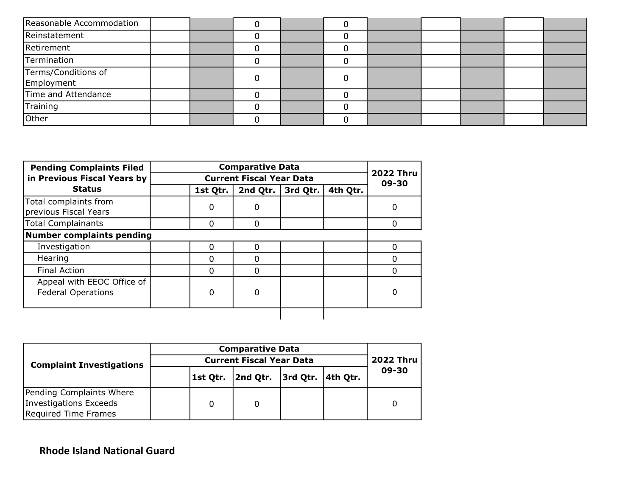| Reasonable Accommodation          |  |  |  |  |  |
|-----------------------------------|--|--|--|--|--|
| Reinstatement                     |  |  |  |  |  |
| Retirement                        |  |  |  |  |  |
| Termination                       |  |  |  |  |  |
| Terms/Conditions of<br>Employment |  |  |  |  |  |
| Time and Attendance               |  |  |  |  |  |
| Training                          |  |  |  |  |  |
| Other                             |  |  |  |  |  |

| <b>Pending Complaints Filed</b>                         |          | <b>Comparative Data</b>         |          |          |                           |
|---------------------------------------------------------|----------|---------------------------------|----------|----------|---------------------------|
| in Previous Fiscal Years by                             |          | <b>Current Fiscal Year Data</b> |          |          | <b>2022 Thru</b><br>09-30 |
| <b>Status</b>                                           | 1st Qtr. | 2nd Qtr.                        | 3rd Qtr. | 4th Qtr. |                           |
| Total complaints from<br>previous Fiscal Years          | 0        | 0                               |          |          | 0                         |
| <b>Total Complainants</b>                               | O        | 0                               |          |          | $\Omega$                  |
| <b>Number complaints pending</b>                        |          |                                 |          |          |                           |
| Investigation                                           | O        | $\Omega$                        |          |          | $\Omega$                  |
| Hearing                                                 |          | O                               |          |          | 0                         |
| <b>Final Action</b>                                     | n        | <sup>0</sup>                    |          |          | 0                         |
| Appeal with EEOC Office of<br><b>Federal Operations</b> | 0        | O                               |          |          |                           |
|                                                         |          |                                 |          |          |                           |

|                                 |  | <b>Comparative Data</b> |                    |                         |  |       |  |  |  |
|---------------------------------|--|-------------------------|--------------------|-------------------------|--|-------|--|--|--|
| <b>Complaint Investigations</b> |  | <b>2022 Thru</b>        |                    |                         |  |       |  |  |  |
|                                 |  |                         | 1st Qtr.  2nd Qtr. | $ 3rd$ Qtr. $ 4th$ Qtr. |  | 09-30 |  |  |  |
| Pending Complaints Where        |  |                         |                    |                         |  |       |  |  |  |
| Investigations Exceeds          |  |                         |                    |                         |  | 0     |  |  |  |
| Required Time Frames            |  |                         |                    |                         |  |       |  |  |  |

## Rhode Island National Guard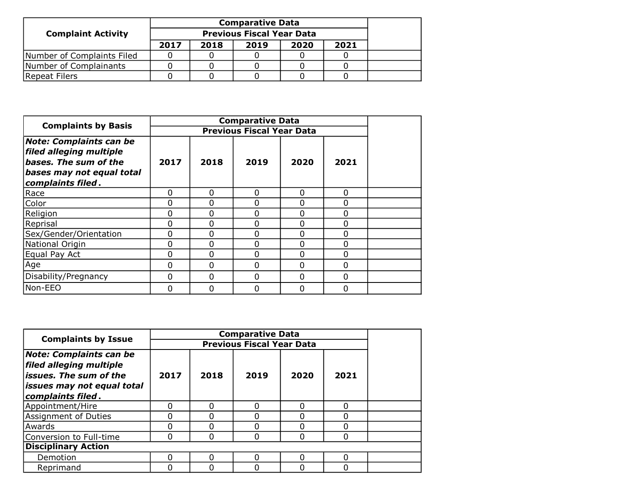|                            |      | <b>Comparative Data</b> |      |      |      |  |  |  |  |
|----------------------------|------|-------------------------|------|------|------|--|--|--|--|
| <b>Complaint Activity</b>  |      |                         |      |      |      |  |  |  |  |
|                            | 2017 | 2018                    | 2019 | 2020 | 2021 |  |  |  |  |
| Number of Complaints Filed |      |                         |      |      |      |  |  |  |  |
| Number of Complainants     |      |                         |      |      |      |  |  |  |  |
| Repeat Filers              |      |                         |      |      |      |  |  |  |  |

| <b>Complaints by Basis</b>                                                                                                           |      |          | <b>Previous Fiscal Year Data</b> |          |          |  |
|--------------------------------------------------------------------------------------------------------------------------------------|------|----------|----------------------------------|----------|----------|--|
| <b>Note: Complaints can be</b><br>filed alleging multiple<br>bases. The sum of the<br>bases may not equal total<br>complaints filed. | 2017 | 2018     | 2019                             | 2020     | 2021     |  |
| Race                                                                                                                                 | 0    | $\Omega$ | $\Omega$                         | $\Omega$ | $\Omega$ |  |
| Color                                                                                                                                | 0    | 0        | $\Omega$                         | $\Omega$ | 0        |  |
| Religion                                                                                                                             | 0    | 0        | $\Omega$                         | $\Omega$ | 0        |  |
| Reprisal                                                                                                                             | 0    | 0        | $\Omega$                         | 0        | 0        |  |
| Sex/Gender/Orientation                                                                                                               | 0    | $\Omega$ | $\Omega$                         | 0        | 0        |  |
| National Origin                                                                                                                      | 0    | $\Omega$ | $\Omega$                         | $\Omega$ | 0        |  |
| Equal Pay Act                                                                                                                        | 0    | $\Omega$ | $\Omega$                         | $\Omega$ | 0        |  |
| Age                                                                                                                                  | 0    | $\Omega$ | $\Omega$                         | 0        | 0        |  |
| Disability/Pregnancy                                                                                                                 | 0    | $\Omega$ | $\Omega$                         | $\Omega$ | 0        |  |
| Non-EEO                                                                                                                              | 0    | 0        | $\Omega$                         | 0        | 0        |  |

| <b>Complaints by Issue</b>                                                                                                                      |      |      | <b>Comparative Data</b>          |      |      |  |
|-------------------------------------------------------------------------------------------------------------------------------------------------|------|------|----------------------------------|------|------|--|
|                                                                                                                                                 |      |      | <b>Previous Fiscal Year Data</b> |      |      |  |
| <b>Note: Complaints can be</b><br>filed alleging multiple<br>$\sf l$ issues. The sum of the<br> issues may not equal total<br>complaints filed. | 2017 | 2018 | 2019                             | 2020 | 2021 |  |
| Appointment/Hire                                                                                                                                |      | n    | n                                | O    | O    |  |
| Assignment of Duties                                                                                                                            |      |      |                                  | 0    |      |  |
| Awards                                                                                                                                          |      |      | Ⴖ                                | ŋ    |      |  |
| Conversion to Full-time                                                                                                                         | n    | n    | O                                | 0    | 0    |  |
| <b>Disciplinary Action</b>                                                                                                                      |      |      |                                  |      |      |  |
| Demotion                                                                                                                                        | n    | n    | U                                | O    | O    |  |
| Reprimand                                                                                                                                       |      |      | ი                                | ŋ    |      |  |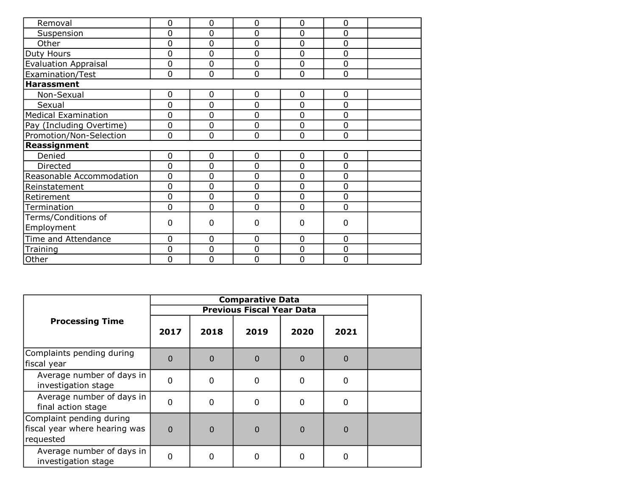| Removal                     | 0 | 0              | $\overline{0}$ | $\overline{0}$ | $\overline{0}$ |  |
|-----------------------------|---|----------------|----------------|----------------|----------------|--|
| Suspension                  | 0 | 0              | 0              | $\overline{0}$ | $\overline{0}$ |  |
| Other                       | 0 | $\overline{0}$ | $\overline{0}$ | $\overline{0}$ | $\overline{0}$ |  |
| Duty Hours                  | 0 | $\mathbf 0$    | $\mathbf 0$    | $\mathbf 0$    | $\mathbf 0$    |  |
| <b>Evaluation Appraisal</b> | 0 | $\overline{0}$ | $\overline{0}$ | $\mathbf 0$    | $\overline{0}$ |  |
| Examination/Test            | 0 | $\overline{0}$ | $\mathbf 0$    | $\overline{0}$ | $\overline{0}$ |  |
| <b>Harassment</b>           |   |                |                |                |                |  |
| Non-Sexual                  | 0 | $\mathbf 0$    | $\mathbf 0$    | $\mathbf 0$    | 0              |  |
| Sexual                      | 0 | $\overline{0}$ | $\overline{0}$ | $\overline{0}$ | $\overline{0}$ |  |
| <b>Medical Examination</b>  | 0 | $\mathbf 0$    | $\mathbf 0$    | $\mathbf 0$    | $\mathbf 0$    |  |
| Pay (Including Overtime)    | 0 | $\overline{0}$ | $\overline{0}$ | $\overline{0}$ | $\overline{0}$ |  |
| Promotion/Non-Selection     | 0 | $\overline{0}$ | $\mathbf 0$    | $\mathbf 0$    | 0              |  |
| Reassignment                |   |                |                |                |                |  |
| Denied                      | 0 | $\mathbf 0$    | $\mathbf 0$    | $\mathbf 0$    | 0              |  |
| Directed                    | 0 | $\mathbf 0$    | $\mathbf 0$    | $\mathbf 0$    | $\mathbf 0$    |  |
| Reasonable Accommodation    | 0 | $\overline{0}$ | $\overline{0}$ | $\mathbf 0$    | $\mathbf 0$    |  |
| Reinstatement               | 0 | $\mathbf 0$    | $\mathbf 0$    | $\mathbf 0$    | $\mathbf 0$    |  |
| Retirement                  | 0 | $\overline{0}$ | $\overline{0}$ | $\overline{0}$ | $\overline{0}$ |  |
| Termination                 | 0 | $\overline{0}$ | $\overline{0}$ | $\overline{0}$ | $\overline{0}$ |  |
| Terms/Conditions of         |   |                |                |                |                |  |
| Employment                  | 0 | $\Omega$       | $\Omega$       | 0              | 0              |  |
| Time and Attendance         | 0 | 0              | $\overline{0}$ | 0              | 0              |  |
| Training                    | 0 | 0              | $\mathbf 0$    | $\mathbf 0$    | $\mathbf 0$    |  |
| Other                       | 0 | 0              | $\mathbf 0$    | $\mathbf 0$    | $\overline{0}$ |  |

|                                                                        |          |          | <b>Comparative Data</b><br><b>Previous Fiscal Year Data</b> |             |              |  |
|------------------------------------------------------------------------|----------|----------|-------------------------------------------------------------|-------------|--------------|--|
| <b>Processing Time</b>                                                 | 2017     | 2018     | 2019                                                        | 2020        | 2021         |  |
| Complaints pending during<br>fiscal year                               | $\Omega$ | 0        | 0                                                           | $\mathbf 0$ | $\Omega$     |  |
| Average number of days in<br>investigation stage                       | $\Omega$ | 0        | 0                                                           | $\mathbf 0$ | $\mathbf 0$  |  |
| Average number of days in<br>final action stage                        | $\Omega$ | $\Omega$ | 0                                                           | $\mathbf 0$ | 0            |  |
| Complaint pending during<br>fiscal year where hearing was<br>requested | $\Omega$ | 0        | 0                                                           | $\mathbf 0$ | $\mathbf{0}$ |  |
| Average number of days in<br>investigation stage                       | $\Omega$ | O        | 0                                                           | 0           | $\Omega$     |  |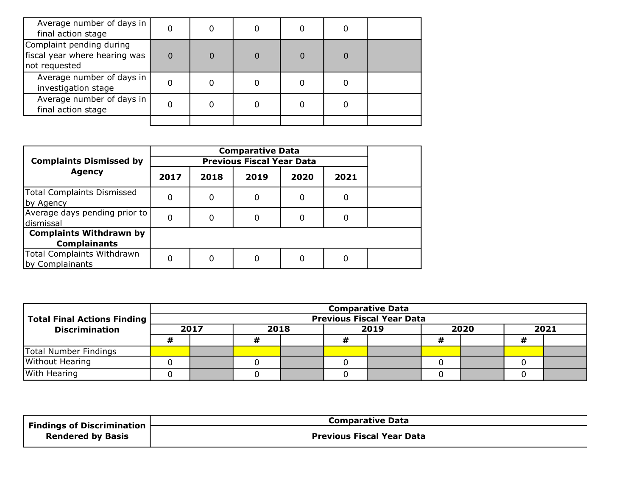| Average number of days in<br>final action stage                            |          |  |   |   |  |
|----------------------------------------------------------------------------|----------|--|---|---|--|
| Complaint pending during<br>fiscal year where hearing was<br>not requested | $\Omega$ |  | 0 | 0 |  |
| Average number of days in<br>investigation stage                           |          |  |   |   |  |
| Average number of days in<br>final action stage                            |          |  |   |   |  |
|                                                                            |          |  |   |   |  |

| <b>Complaints Dismissed by</b>                        |      |      |      |      |      |  |
|-------------------------------------------------------|------|------|------|------|------|--|
| <b>Agency</b>                                         | 2017 | 2018 | 2019 | 2020 | 2021 |  |
| <b>Total Complaints Dismissed</b><br>by Agency        | 0    | 0    | 0    | 0    | 0    |  |
| Average days pending prior to<br>dismissal            | 0    | 0    | 0    | 0    | 0    |  |
| <b>Complaints Withdrawn by</b><br><b>Complainants</b> |      |      |      |      |      |  |
| Total Complaints Withdrawn<br>by Complainants         | 0    | 0    | 0    | 0    | 0    |  |

|                                      | <b>Comparative Data</b> |      |  |  |                                  |  |      |  |      |  |
|--------------------------------------|-------------------------|------|--|--|----------------------------------|--|------|--|------|--|
| <b>Total Final Actions Finding  </b> |                         |      |  |  | <b>Previous Fiscal Year Data</b> |  |      |  |      |  |
| <b>Discrimination</b>                | 2017                    | 2018 |  |  | 2019                             |  | 2020 |  | 2021 |  |
|                                      |                         |      |  |  |                                  |  |      |  |      |  |
| Total Number Findings                |                         |      |  |  |                                  |  |      |  |      |  |
| Without Hearing                      |                         |      |  |  |                                  |  |      |  |      |  |
| With Hearing                         |                         |      |  |  |                                  |  |      |  |      |  |

| Findings of Discrimination<br><b>Rendered by Basis</b> | <b>Comparative Data</b>          |
|--------------------------------------------------------|----------------------------------|
|                                                        | <b>Previous Fiscal Year Data</b> |
|                                                        |                                  |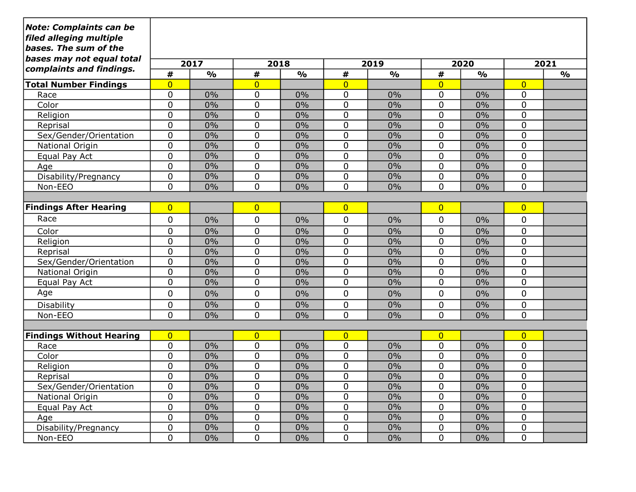| <b>Note: Complaints can be</b><br>filed alleging multiple<br>bases. The sum of the |                     |               |                              |               |                        |               |                     |               |                |               |
|------------------------------------------------------------------------------------|---------------------|---------------|------------------------------|---------------|------------------------|---------------|---------------------|---------------|----------------|---------------|
| bases may not equal total<br>complaints and findings.                              | 2017                |               |                              | 2018          |                        | 2019          |                     | 2020          |                | 2021          |
|                                                                                    | #<br>$\overline{0}$ | $\frac{1}{2}$ | $\pmb{\#}$<br>$\overline{0}$ | $\frac{1}{2}$ | $\#$<br>$\overline{0}$ | $\frac{1}{2}$ | #                   | $\frac{1}{2}$ | $\overline{0}$ | $\frac{0}{0}$ |
| <b>Total Number Findings</b><br>Race                                               | $\mathbf 0$         | 0%            | 0                            | 0%            | 0                      | 0%            | $\overline{0}$<br>0 | 0%            | 0              |               |
| Color                                                                              | 0                   | 0%            | 0                            | 0%            | $\mathbf 0$            | 0%            | 0                   | 0%            | 0              |               |
| Religion                                                                           | 0                   | 0%            | 0                            | 0%            | $\mathbf 0$            | 0%            | 0                   | 0%            | 0              |               |
| Reprisal                                                                           | $\mathbf 0$         | 0%            | 0                            | 0%            | $\mathbf 0$            | 0%            | 0                   | 0%            | 0              |               |
| Sex/Gender/Orientation                                                             | $\mathbf 0$         | 0%            | 0                            | 0%            | $\mathbf 0$            | 0%            | 0                   | 0%            | 0              |               |
| National Origin                                                                    | $\mathbf 0$         | 0%            | 0                            | 0%            | $\mathbf 0$            | 0%            | $\mathbf 0$         | 0%            | 0              |               |
| Equal Pay Act                                                                      | $\mathbf 0$         | 0%            | $\mathbf 0$                  | 0%            | 0                      | 0%            | 0                   | 0%            | 0              |               |
| Age                                                                                | $\mathbf 0$         | 0%            | 0                            | 0%            | $\mathbf 0$            | 0%            | 0                   | 0%            | 0              |               |
| Disability/Pregnancy                                                               | $\mathbf 0$         | 0%            | 0                            | 0%            | 0                      | 0%            | 0                   | 0%            | 0              |               |
| Non-EEO                                                                            | 0                   | 0%            | 0                            | 0%            | $\Omega$               | 0%            | 0                   | 0%            | $\mathbf 0$    |               |
|                                                                                    |                     |               |                              |               |                        |               |                     |               |                |               |
| <b>Findings After Hearing</b>                                                      | $\overline{0}$      |               | $\overline{0}$               |               | $\overline{0}$         |               | $\overline{0}$      |               | $\overline{0}$ |               |
| Race                                                                               | 0                   | 0%            | $\mathbf 0$                  | 0%            | $\mathbf 0$            | 0%            | 0                   | 0%            | 0              |               |
| Color                                                                              | $\mathbf 0$         | 0%            | 0                            | 0%            | $\mathbf 0$            | 0%            | $\mathbf 0$         | 0%            | 0              |               |
| Religion                                                                           | $\mathbf 0$         | 0%            | $\mathbf 0$                  | 0%            | $\mathbf 0$            | 0%            | 0                   | 0%            | $\pmb{0}$      |               |
| Reprisal                                                                           | $\overline{0}$      | 0%            | $\mathbf 0$                  | 0%            | $\mathbf 0$            | 0%            | $\mathbf 0$         | 0%            | $\pmb{0}$      |               |
| Sex/Gender/Orientation                                                             | $\mathbf 0$         | 0%            | 0                            | 0%            | $\pmb{0}$              | 0%            | 0                   | 0%            | 0              |               |
| National Origin                                                                    | $\mathbf 0$         | 0%            | 0                            | 0%            | $\mathbf 0$            | 0%            | 0                   | 0%            | $\pmb{0}$      |               |
| Equal Pay Act                                                                      | $\mathbf 0$         | 0%            | 0                            | 0%            | $\mathbf 0$            | 0%            | 0                   | 0%            | 0              |               |
| Age                                                                                | 0                   | 0%            | 0                            | 0%            | $\mathbf 0$            | 0%            | 0                   | 0%            | 0              |               |
| Disability                                                                         | $\mathbf 0$         | 0%            | 0                            | 0%            | $\mathbf 0$            | 0%            | 0                   | 0%            | 0              |               |
| Non-EEO                                                                            | $\Omega$            | 0%            | $\mathbf 0$                  | 0%            | $\mathbf 0$            | 0%            | 0                   | 0%            | 0              |               |
|                                                                                    |                     |               |                              |               |                        |               |                     |               |                |               |
| <b>Findings Without Hearing</b>                                                    | $\overline{0}$      |               | $\overline{0}$               |               | $\overline{0}$         |               | $\overline{0}$      |               | $\overline{0}$ |               |
| Race                                                                               | $\mathbf 0$         | 0%            | 0                            | 0%            | $\mathbf 0$            | 0%            | 0                   | 0%            | 0              |               |
| Color                                                                              | 0                   | 0%            | 0                            | 0%            | $\mathbf 0$            | 0%            | 0                   | 0%            | 0              |               |
| Religion                                                                           | 0                   | 0%            | 0                            | 0%            | 0                      | 0%            | 0                   | 0%            | 0              |               |
| Reprisal                                                                           | 0                   | 0%            | 0                            | 0%            | $\mathbf 0$            | 0%            | 0                   | 0%            | 0              |               |
| Sex/Gender/Orientation                                                             | $\pmb{0}$           | 0%            | 0                            | 0%            | $\pmb{0}$              | $0\%$         | $\pmb{0}$           | 0%            | 0              |               |
| National Origin                                                                    | $\pmb{0}$           | $0\%$         | 0                            | $0\%$         | 0                      | $0\%$         | $\pmb{0}$           | 0%            | 0              |               |
| Equal Pay Act                                                                      | $\pmb{0}$           | $0\%$         | 0                            | $0\%$         | 0                      | $0\%$         | $\pmb{0}$           | 0%            | 0              |               |
| Age                                                                                | $\mathbf 0$         | $0\%$         | 0                            | $0\%$         | 0                      | $0\%$         | 0                   | 0%            | 0              |               |
| Disability/Pregnancy                                                               | $\pmb{0}$           | $0\%$         | 0                            | $0\%$         | $\pmb{0}$              | $0\%$         | $\pmb{0}$           | 0%            | $\pmb{0}$      |               |
| Non-EEO                                                                            | 0                   | $0\%$         | 0                            | $0\%$         | $\mathbf 0$            | $0\%$         | $\mathbf 0$         | $0\%$         | 0              |               |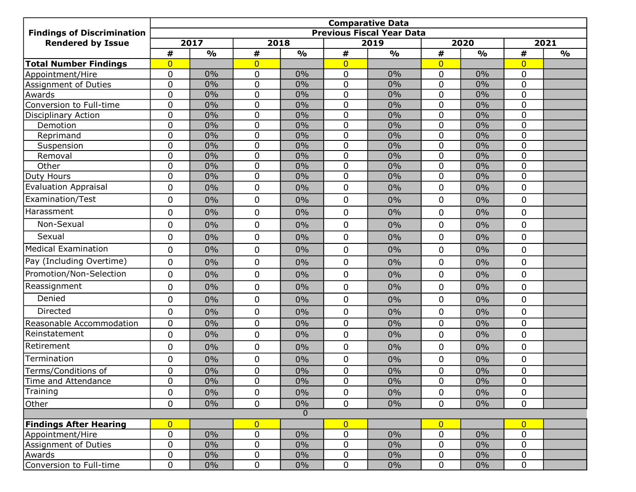| <b>Findings of Discrimination</b> | <b>Comparative Data</b><br><b>Previous Fiscal Year Data</b> |               |                |               |                |               |                  |               |                |               |  |  |
|-----------------------------------|-------------------------------------------------------------|---------------|----------------|---------------|----------------|---------------|------------------|---------------|----------------|---------------|--|--|
| <b>Rendered by Issue</b>          | 2017                                                        |               |                | 2018          | 2019           |               | 2020             |               | 2021           |               |  |  |
|                                   | #                                                           | $\frac{O}{O}$ | #              | $\frac{0}{0}$ | $\pmb{\#}$     | $\frac{0}{0}$ | #                | $\frac{1}{2}$ | #              | $\frac{0}{0}$ |  |  |
| <b>Total Number Findings</b>      | $\overline{0}$                                              |               | $\overline{0}$ |               | $\overline{0}$ |               | $\overline{0}$   |               | $\overline{0}$ |               |  |  |
| Appointment/Hire                  | $\mathbf 0$                                                 | 0%            | $\mathbf 0$    | 0%            | $\mathbf 0$    | 0%            | $\overline{0}$   | 0%            | 0              |               |  |  |
| Assignment of Duties              | $\mathbf 0$                                                 | 0%            | 0              | 0%            | $\mathbf 0$    | 0%            | 0                | 0%            | 0              |               |  |  |
| Awards                            | $\mathbf 0$                                                 | 0%            | $\mathbf 0$    | 0%            | $\mathbf 0$    | 0%            | $\mathbf 0$      | 0%            | 0              |               |  |  |
| Conversion to Full-time           | $\mathbf 0$                                                 | 0%            | 0              | 0%            | $\mathbf 0$    | 0%            | 0                | 0%            | 0              |               |  |  |
| <b>Disciplinary Action</b>        | $\mathbf 0$                                                 | 0%            | 0              | 0%            | $\mathbf 0$    | 0%            | $\mathbf 0$      | 0%            | 0              |               |  |  |
| Demotion                          | $\mathbf 0$                                                 | 0%            | 0              | 0%            | $\mathbf 0$    | 0%            | 0                | 0%            | 0              |               |  |  |
| Reprimand                         | $\mathbf 0$                                                 | 0%            | 0              | 0%            | $\mathbf 0$    | 0%            | $\mathbf 0$      | 0%            | 0              |               |  |  |
| Suspension                        | $\mathbf 0$                                                 | 0%            | $\mathbf 0$    | 0%            | $\mathbf 0$    | 0%            | 0                | 0%            | 0              |               |  |  |
| Removal                           | $\mathbf 0$                                                 | 0%            | $\overline{0}$ | 0%            | $\mathbf 0$    | $0\%$         | $\overline{0}$   | 0%            | $\overline{0}$ |               |  |  |
| Other                             | $\mathbf 0$                                                 | 0%            | 0              | 0%            | $\mathbf 0$    | 0%            | $\mathbf 0$      | 0%            | 0              |               |  |  |
| Duty Hours                        | $\mathbf 0$                                                 | 0%            | $\overline{0}$ | 0%            | $\mathbf 0$    | 0%            | $\mathbf 0$      | 0%            | $\mathbf 0$    |               |  |  |
| <b>Evaluation Appraisal</b>       | $\mathbf 0$                                                 | 0%            | 0              | 0%            | $\mathbf 0$    | 0%            | 0                | 0%            | 0              |               |  |  |
| Examination/Test                  | $\mathbf 0$                                                 | 0%            | 0              | 0%            | $\mathbf 0$    | 0%            | $\mathbf 0$      | 0%            | 0              |               |  |  |
| Harassment                        | $\mathbf 0$                                                 | 0%            | 0              | 0%            | $\mathbf 0$    | 0%            | 0                | 0%            | 0              |               |  |  |
| Non-Sexual                        | $\mathbf 0$                                                 | 0%            | $\mathbf 0$    | 0%            | $\mathbf 0$    | 0%            | 0                | 0%            | 0              |               |  |  |
| Sexual                            | $\mathbf 0$                                                 | 0%            | $\mathbf 0$    | 0%            | $\mathbf 0$    | 0%            | $\Omega$         | 0%            | 0              |               |  |  |
| <b>Medical Examination</b>        | $\mathbf 0$                                                 | 0%            | 0              | 0%            | 0              | $0\%$         | 0                | 0%            | 0              |               |  |  |
| Pay (Including Overtime)          | $\mathbf 0$                                                 | 0%            | 0              | 0%            | $\mathbf 0$    | 0%            | 0                | 0%            | 0              |               |  |  |
| Promotion/Non-Selection           | $\mathbf 0$                                                 | 0%            | $\mathbf 0$    | 0%            | $\mathbf 0$    | 0%            | 0                | 0%            | 0              |               |  |  |
| Reassignment                      | $\mathbf 0$                                                 | 0%            | 0              | 0%            | $\mathbf 0$    | 0%            | $\boldsymbol{0}$ | 0%            | 0              |               |  |  |
| Denied                            | $\mathbf 0$                                                 | 0%            | $\mathbf{0}$   | 0%            | $\mathbf 0$    | 0%            | $\overline{0}$   | 0%            | $\mathbf 0$    |               |  |  |
| Directed                          | $\mathbf 0$                                                 | 0%            | $\mathbf 0$    | 0%            | $\mathbf 0$    | 0%            | 0                | 0%            | 0              |               |  |  |
| Reasonable Accommodation          | $\mathbf 0$                                                 | 0%            | 0              | 0%            | $\mathbf 0$    | 0%            | $\overline{0}$   | 0%            | 0              |               |  |  |
| Reinstatement                     | $\mathbf 0$                                                 | 0%            | 0              | 0%            | $\mathbf 0$    | $0\%$         | $\mathbf 0$      | 0%            | 0              |               |  |  |
| Retirement                        | $\mathbf 0$                                                 | 0%            | $\mathbf 0$    | 0%            | $\mathbf 0$    | 0%            | 0                | 0%            | 0              |               |  |  |
| Termination                       | $\mathbf 0$                                                 | 0%            | 0              | 0%            | 0              | 0%            | 0                | 0%            | 0              |               |  |  |
| Terms/Conditions of               | $\mathbf 0$                                                 | 0%            | $\mathbf 0$    | 0%            | $\mathbf 0$    | 0%            | $\overline{0}$   | 0%            | 0              |               |  |  |
| Time and Attendance               | $\mathbf 0$                                                 | $0\%$         | 0              | 0%            | $\mathbf 0$    | 0%            | $\pmb{0}$        | 0%            | 0              |               |  |  |
| Training                          | $\mathbf 0$                                                 | $0\%$         | $\overline{0}$ | $0\%$         | $\Omega$       | $0\%$         | 0                | 0%            | $\mathbf 0$    |               |  |  |
| Other                             | $\mathbf 0$                                                 | $0\%$         | $\mathbf 0$    | $0\%$         | $\mathbf 0$    | $0\%$         | 0                | $0\%$         | 0              |               |  |  |
|                                   |                                                             |               |                | $\Omega$      |                |               |                  |               |                |               |  |  |
| <b>Findings After Hearing</b>     | $\overline{0}$                                              |               | $\overline{0}$ |               | $\overline{0}$ |               | $\overline{0}$   |               | $\overline{0}$ |               |  |  |
| Appointment/Hire                  | $\mathbf 0$                                                 | $0\%$         | 0              | $0\%$         | $\mathbf 0$    | 0%            | 0                | 0%            | 0              |               |  |  |
| Assignment of Duties              | $\mathbf 0$                                                 | $0\%$         | 0              | $0\%$         | $\mathbf 0$    | $0\%$         | 0                | $0\%$         | 0              |               |  |  |
| Awards                            | $\pmb{0}$                                                   | $0\%$         | 0              | $0\%$         | $\mathbf 0$    | $0\%$         | 0                | $0\%$         | 0              |               |  |  |
| Conversion to Full-time           | $\mathbf 0$                                                 | $0\%$         | $\mathbf 0$    | $0\%$         | $\mathbf 0$    | $0\%$         | 0                | $0\%$         | 0              |               |  |  |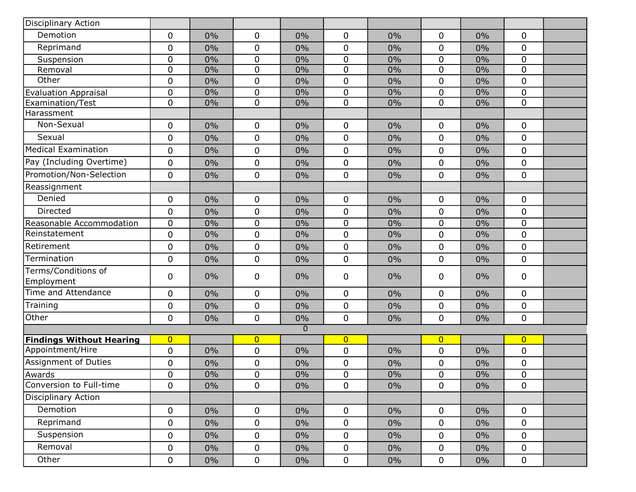| Disciplinary Action               |                |       |                |                |                |       |                  |       |                  |  |
|-----------------------------------|----------------|-------|----------------|----------------|----------------|-------|------------------|-------|------------------|--|
| Demotion                          | $\mathbf 0$    | 0%    | 0              | 0%             | 0              | 0%    | 0                | 0%    | 0                |  |
| Reprimand                         | $\mathbf 0$    | 0%    | 0              | 0%             | 0              | 0%    | 0                | 0%    | 0                |  |
| Suspension                        | 0              | 0%    | $\pmb{0}$      | 0%             | $\pmb{0}$      | 0%    | $\mathbf 0$      | 0%    | $\boldsymbol{0}$ |  |
| Removal                           | $\pmb{0}$      | 0%    | 0              | 0%             | 0              | 0%    | $\boldsymbol{0}$ | 0%    | 0                |  |
| Other                             | $\mathbf 0$    | 0%    | 0              | 0%             | 0              | 0%    | $\mathbf 0$      | 0%    | 0                |  |
| <b>Evaluation Appraisal</b>       | $\pmb{0}$      | 0%    | 0              | 0%             | 0              | 0%    | 0                | 0%    | 0                |  |
| Examination/Test                  | $\pmb{0}$      | 0%    | $\pmb{0}$      | 0%             | 0              | 0%    | $\mathbf 0$      | 0%    | 0                |  |
| Harassment                        |                |       |                |                |                |       |                  |       |                  |  |
| Non-Sexual                        | $\mathbf 0$    | 0%    | 0              | 0%             | 0              | 0%    | 0                | 0%    | 0                |  |
| Sexual                            | 0              | 0%    | 0              | 0%             | $\mathbf 0$    | 0%    | 0                | 0%    | 0                |  |
| Medical Examination               | $\mathbf 0$    | 0%    | 0              | 0%             | 0              | $0\%$ | $\mathbf 0$      | 0%    | 0                |  |
| Pay (Including Overtime)          | 0              | 0%    | 0              | 0%             | 0              | 0%    | 0                | 0%    | 0                |  |
| Promotion/Non-Selection           | $\mathbf 0$    | 0%    | 0              | 0%             | 0              | 0%    | $\boldsymbol{0}$ | 0%    | 0                |  |
| Reassignment                      |                |       |                |                |                |       |                  |       |                  |  |
| Denied                            | 0              | 0%    | 0              | 0%             | 0              | 0%    | 0                | 0%    | 0                |  |
| Directed                          | $\mathbf 0$    | 0%    | 0              | 0%             | 0              | 0%    | 0                | 0%    | 0                |  |
| Reasonable Accommodation          | $\pmb{0}$      | 0%    | 0              | 0%             | 0              | 0%    | $\boldsymbol{0}$ | 0%    | 0                |  |
| Reinstatement                     | $\pmb{0}$      | 0%    | 0              | 0%             | 0              | 0%    | 0                | 0%    | 0                |  |
| Retirement                        | $\pmb{0}$      | 0%    | 0              | 0%             | 0              | 0%    | $\mathbf 0$      | 0%    | 0                |  |
| Termination                       | $\pmb{0}$      | 0%    | 0              | 0%             | 0              | 0%    | 0                | 0%    | 0                |  |
| Terms/Conditions of<br>Employment | $\mathbf 0$    | 0%    | 0              | 0%             | 0              | 0%    | 0                | 0%    | 0                |  |
| Time and Attendance               | $\mathbf 0$    | 0%    | 0              | 0%             | $\mathbf 0$    | 0%    | 0                | 0%    | 0                |  |
| Training                          | $\pmb{0}$      | 0%    | 0              | 0%             | 0              | 0%    | 0                | 0%    | 0                |  |
| Other                             | $\mathbf 0$    | 0%    | 0              | 0%             | 0              | 0%    | $\overline{0}$   | 0%    | 0                |  |
|                                   |                |       |                | $\overline{0}$ |                |       |                  |       |                  |  |
| <b>Findings Without Hearing</b>   | $\overline{0}$ |       | $\overline{0}$ |                | $\overline{0}$ |       | $\overline{0}$   |       | $\overline{0}$   |  |
| Appointment/Hire                  | $\pmb{0}$      | 0%    | 0              | 0%             | 0              | 0%    | 0                | 0%    | 0                |  |
| Assignment of Duties              | $\pmb{0}$      | 0%    | 0              | 0%             | 0              | 0%    | 0                | 0%    | 0                |  |
| Awards                            | $\mathbf 0$    | $0\%$ | $\mathbf 0$    | $0\%$          | $\mathbf 0$    | 0%    | $\pmb{0}$        | 0%    | $\mathbf 0$      |  |
| Conversion to Full-time           | $\mathbf 0$    | $0\%$ | 0              | 0%             | 0              | $0\%$ | 0                | $0\%$ | 0                |  |
| <b>Disciplinary Action</b>        |                |       |                |                |                |       |                  |       |                  |  |
| Demotion                          | $\mathbf 0$    | $0\%$ | 0              | $0\%$          | $\mathbf 0$    | $0\%$ | $\mathbf 0$      | 0%    | $\mathbf 0$      |  |
| Reprimand                         | 0              | $0\%$ | 0              | $0\%$          | $\mathbf 0$    | $0\%$ | 0                | $0\%$ | 0                |  |
| Suspension                        | $\pmb{0}$      | $0\%$ | $\mathbf 0$    | $0\%$          | $\mathbf 0$    | $0\%$ | 0                | $0\%$ | 0                |  |
| Removal                           | $\pmb{0}$      | $0\%$ | 0              | $0\%$          | $\mathbf 0$    | 0%    | 0                | $0\%$ | 0                |  |
| Other                             | 0              | $0\%$ | $\mathbf 0$    | $0\%$          | $\mathbf 0$    | $0\%$ | 0                | $0\%$ | 0                |  |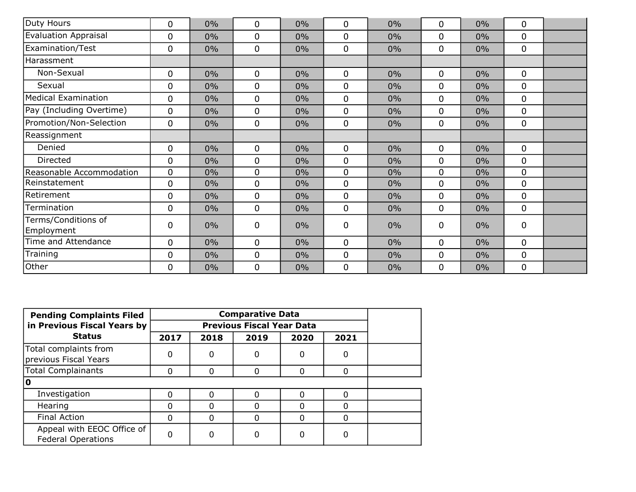| Duty Hours                        | 0 | $0\%$ | 0 | 0%    | $\Omega$    | $0\%$ | 0           | 0%    | 0                |  |
|-----------------------------------|---|-------|---|-------|-------------|-------|-------------|-------|------------------|--|
| <b>Evaluation Appraisal</b>       | 0 | $0\%$ | 0 | $0\%$ | $\mathbf 0$ | 0%    | 0           | $0\%$ | 0                |  |
| <b>Examination/Test</b>           | 0 | $0\%$ | 0 | $0\%$ | $\mathbf 0$ | $0\%$ | 0           | $0\%$ | 0                |  |
| Harassment                        |   |       |   |       |             |       |             |       |                  |  |
| Non-Sexual                        | 0 | $0\%$ | 0 | 0%    | $\mathbf 0$ | $0\%$ | 0           | 0%    | $\mathbf 0$      |  |
| Sexual                            | 0 | $0\%$ | 0 | $0\%$ | $\mathbf 0$ | $0\%$ | 0           | 0%    | 0                |  |
| <b>Medical Examination</b>        | 0 | $0\%$ | 0 | $0\%$ | $\mathbf 0$ | 0%    | 0           | 0%    | 0                |  |
| Pay (Including Overtime)          | 0 | $0\%$ | 0 | $0\%$ | 0           | $0\%$ | 0           | $0\%$ | 0                |  |
| Promotion/Non-Selection           | 0 | $0\%$ | 0 | 0%    | $\mathbf 0$ | $0\%$ | 0           | $0\%$ | 0                |  |
| Reassignment                      |   |       |   |       |             |       |             |       |                  |  |
| Denied                            | 0 | $0\%$ | 0 | 0%    | $\mathbf 0$ | 0%    | 0           | $0\%$ | 0                |  |
| Directed                          | 0 | $0\%$ | 0 | $0\%$ | $\mathbf 0$ | 0%    | 0           | 0%    | 0                |  |
| Reasonable Accommodation          | 0 | $0\%$ | 0 | 0%    | $\Omega$    | $0\%$ | 0           | 0%    | 0                |  |
| Reinstatement                     | 0 | $0\%$ | 0 | 0%    | $\mathbf 0$ | $0\%$ | 0           | 0%    | 0                |  |
| Retirement                        | 0 | $0\%$ | 0 | 0%    | $\mathbf 0$ | 0%    | $\mathbf 0$ | 0%    | $\mathbf 0$      |  |
| Termination                       | 0 | $0\%$ | 0 | $0\%$ | $\mathbf 0$ | $0\%$ | 0           | 0%    | 0                |  |
| Terms/Conditions of<br>Employment | 0 | $0\%$ | 0 | 0%    | 0           | 0%    | 0           | 0%    | 0                |  |
| Time and Attendance               | 0 | $0\%$ | 0 | $0\%$ | $\mathbf 0$ | 0%    | 0           | 0%    | 0                |  |
| Training                          | 0 | $0\%$ | 0 | 0%    | $\mathbf 0$ | $0\%$ | 0           | 0%    | 0                |  |
| Other                             | 0 | $0\%$ | 0 | 0%    | 0           | $0\%$ | 0           | 0%    | $\boldsymbol{0}$ |  |

| <b>Pending Complaints Filed</b>                         |      |              |      |          |          |  |
|---------------------------------------------------------|------|--------------|------|----------|----------|--|
| in Previous Fiscal Years by                             |      |              |      |          |          |  |
| <b>Status</b>                                           | 2017 | 2018         | 2019 | 2020     | 2021     |  |
| Total complaints from<br>previous Fiscal Years          | 0    | 0            | 0    | 0        | 0        |  |
| Total Complainants                                      | O    | <sup>0</sup> | 0    | 0        | 0        |  |
| 10                                                      |      |              |      |          |          |  |
| Investigation                                           | n    |              |      | 0        | O        |  |
| Hearing                                                 | ი    |              |      | 0        | 0        |  |
| <b>Final Action</b>                                     | ი    |              |      | $\Omega$ | $\Omega$ |  |
| Appeal with EEOC Office of<br><b>Federal Operations</b> |      |              |      | 0        | 0        |  |